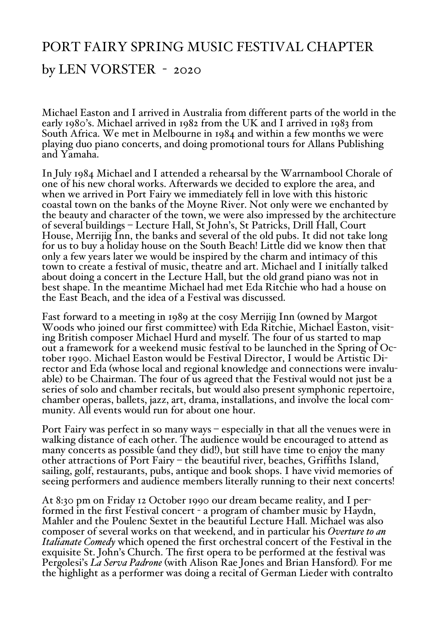## PORT FAIRY SPRING MUSIC FESTIVAL CHAPTER

## by LEN VORSTER - 2020

Michael Easton and I arrived in Australia from different parts of the world in the early 1980's. Michael arrived in 1982 from the UK and I arrived in 1983 from South Africa. We met in Melbourne in 1984 and within a few months we were playing duo piano concerts, and doing promotional tours for Allans Publishing and Yamaha.

In July <sup>1984</sup> Michael and <sup>I</sup> attended <sup>a</sup> rehearsal by the Warrnambool Chorale of one of his new choral works. Afterwards we decided to explore the area, and when we arrived in Port Fairy we immediately fell in love with this historic coastal town on the banks of the Moyne River. Not only were we enchanted by the beauty and character of the town, we were also impressed by the architecture of several buildings – Lecture Hall, St John's, St Patricks, Drill Hall, Court House, Merrijig Inn, the banks and several of the old pubs. It did not take long for us to buy a holiday house on the South Beach! Little did we know then that only a few years later we would be inspired by the charm and intimacy of this town to create a festival of music, theatre and art. Michael and I initially talked about doing a concert in the Lecture Hall, but the old grand piano was not in best shape. In the meantime Michael had met Eda Ritchie who had a house on the East Beach, and the idea of a Festival was discussed.

Fast forward to a meeting in 1989 at the cosy Merrijig Inn (owned by Margot Woods who joined our first committee) with Eda Ritchie, Michael Easton, visiting British composer Michael Hurd and myself. The four of us started to map out a framework for a weekend music festival to be launched in the Spring of October 1990. Michael Easton would be Festival Director, <sup>I</sup> would be Artistic Di- rector and Eda (whose local and regional knowledge and connections were invaluable) to be Chairman. The four of us agreed that the Festival would not just be a series of solo and chamber recitals, but would also present symphonic repertoire, chamber operas, ballets, jazz, art, drama, installations, and involve the local community. All events would run for about one hour.

Port Fairy was perfect in so many ways – especially in that all the venues were in walking distance of each other. The audience would be encouraged to attend as many concerts as possible (and they did!), but still have time to enjoy the many other attractions of Port Fairy – the beautiful river, beaches, Griffiths Island, sailing, golf, restaurants, pubs, antique and book shops. I have vivid memories of seeing performers and audience members literally running to their next concerts!

At 8:30 pm on Friday 12 October 1990 our dream became reality, and I performed in the first Festival concert - a program of chamber music by Haydn, Mahler and the Poulenc Sextet in the beautiful Lecture Hall. Michael was also composer of several works on that weekend, and in particular his *Overture to an Italianate Comedy* which opened the first orchestral concert of the Festival in the exquisite St. John's Church. The first opera to be performed at the festival was Pergolesi's *La Serva Padrone* (with Alison Rae Jones and Brian Hansford)*.* For me the highlight as a performer was doing a recital of German Lieder with contralto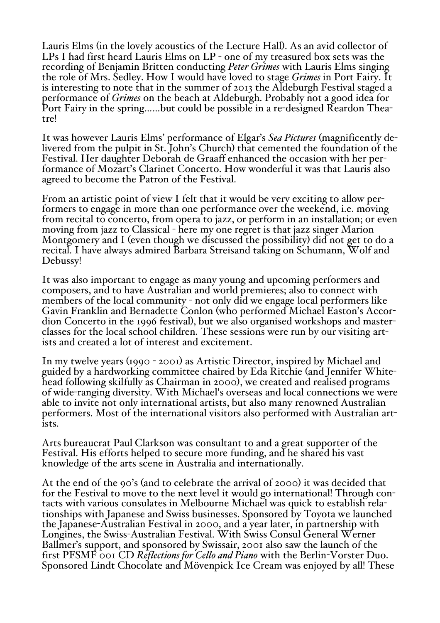Lauris Elms (in the lovely acoustics of the Lecture Hall). As an avid collector of LPs I had first heard Lauris Elms on LP - one of my treasured box sets was the recording of Benjamin Britten conducting *Peter Grimes* with Lauris Elms singing the role of Mrs. Sedley. How I would have loved to stage *Grimes* in Port Fairy. It is interesting to note that in the summer of 2013 the Aldeburgh Festival staged a performance of *Grimes* on the beach at Aldeburgh. Probably not a good idea for Port Fairy in the spring……but could be possible in a re-designed Reardon Theatre!

It was however Lauris Elms' performance of Elgar's *Sea Pictures* (magnificently de- livered from the pulpit in St. John's Church) that cemented the foundation of the Festival. Her daughter Deborah de Graaff enhanced the occasion with her performance of Mozart's Clarinet Concerto. How wonderful it was that Lauris also agreed to become the Patron of the Festival.

From an artistic point of view <sup>I</sup> felt that it would be very exciting to allow per- formers to engage in more than one performance over the weekend, i.e. moving from recital to concerto, from opera to jazz, or perform in an installation; or even moving from jazz to Classical - here my one regret is that jazz singer Marion Montgomery and I (even though we discussed the possibility) did not get to do a recital. I have always admired Barbara Streisand taking on Schumann, Wolf and Debussy!

It was also important to engage as many young and upcoming performers and composers, and to have Australian and world premieres; also to connect with members of the local community - not only did we engage local performers like Gavin Franklin and Bernadette Conlon (who performed Michael Easton's Accordion Concerto in the 1996 festival), but we also organised workshops and masterclasses for the local school children. These sessions were run by our visiting art- ists and created <sup>a</sup> lot of interest and excitement.

In my twelve years (1990 - 2001) as Artistic Director, inspired by Michael and guided by <sup>a</sup> hardworking committee chaired by Eda Ritchie (and Jennifer White- head following skilfully as Chairman in <sup>2000</sup>), we created and realised programs of wide-ranging diversity. With Michael's overseas and local connections we were able to invite not only international artists, but also many renowned Australian performers. Most of the international visitors also performed with Australian artists.

Arts bureaucrat Paul Clarkson was consultant to and a great supporter of the Festival. His efforts helped to secure more funding, and he shared his vast knowledge of the arts scene in Australia and internationally.

At the end of the 90's (and to celebrate the arrival of 2000) it was decided that for the Festival to move to the next level it would go international! Through contacts with various consulates in Melbourne Michael was quick to establish relationships with Japanese and Swiss businesses. Sponsored by Toyota we launched the Japanese-Australian Festival in 2000, and a year later, in partnership with Longines, the Swiss-Australian Festival. With Swiss Consul General Werner Ballmer's support, and sponsored by Swissair, 2001 also saw the launch of the first PFSMF 001 CD *Reflections for Cello and Piano* with the Berlin-Vorster Duo. Sponsored Lindt Chocolate and Mövenpick Ice Cream was enjoyed by all! These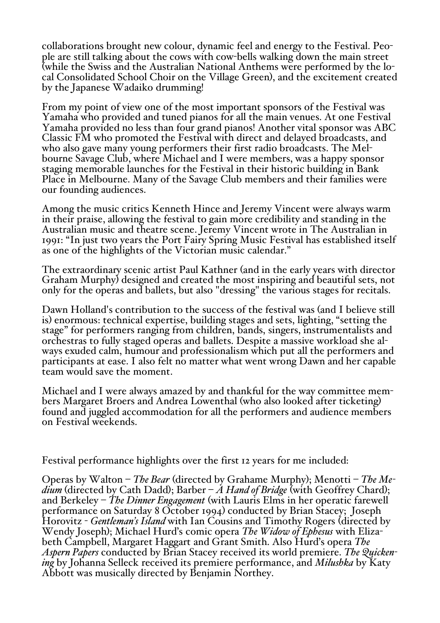collaborations brought new colour, dynamic feel and energy to the Festival. People are still talking about the cows with cow-bells walking down the main street (while the Swiss and the Australian National Anthems were performed by the local Consolidated School Choir on the Village Green), and the excitement created by the Japanese Wadaiko drumming!

From my point of view one of the most important sponsors of the Festival was Yamaha who provided and tuned pianos for all the main venues. At one Festival Yamaha provided no less than four grand pianos! Another vital sponsor was ABC Classic FM who promoted the Festival with direct and delayed broadcasts, and who also gave many young performers their first radio broadcasts. The Melbourne Savage Club, where Michael and I were members, was a happy sponsor staging memorable launches for the Festival in their historic building in Bank Place in Melbourne. Many of the Savage Club members and their families were our founding audiences.

Among the music critics Kenneth Hince and Jeremy Vincent were always warm in their praise, allowing the festival to gain more credibility and standing in the Australian music and theatre scene. Jeremy Vincent wrote in The Australian in 1991: "In just two years the Port Fairy Spring Music Festival has established itself as one of the highlights of the Victorian music calendar."

The extraordinary scenic artist Paul Kathner (and in the early years with director Graham Murphy) designed and created the most inspiring and beautiful sets, not only for the operas and ballets, but also "dressing" the various stages for recitals.

Dawn Holland's contribution to the success of the festival was (and I believe still is) enormous: technical expertise, building stages and sets, lighting, "setting the stage" for performers ranging from children, bands, singers, instrumentalists and orchestras to fully staged operas and ballets. Despite <sup>a</sup> massive workload she al- ways exuded calm, humour and professionalism which put all the performers and participants at ease. I also felt no matter what went wrong Dawn and her capable team would save the moment.

Michael and <sup>I</sup> were always amazed by and thankful for the way committee mem- bers Margaret Broers and Andrea Lowenthal (who also looked after ticketing) found and juggled accommodation for all the performers and audience members on Festival weekends.

Festival performance highlights over the first 12 years for me included:

Operas by Walton – *The Bear* (directed by Grahame Murphy); Menotti – *The Me* $dium$  (directed by Cath Dadd); Barber –  $\dot{A}$  *Hand* of *Bridge* (with Geoffrey Chard); and Berkeley – *The Dinner Engagement* (with Lauris Elms in her operatic farewell performance on Saturday 8 October 1994) conducted by Brian Stacey; Joseph Horovitz - *Gentleman's Island* with Ian Cousins and Timothy Rogers (directed by Wendy Joseph); Michael Hurd's comic opera *The Widow of Ephesus* with Eliza- beth Campbell, Margaret Haggart and Grant Smith. Also Hurd's opera *The Aspern Papers* conducted by Brian Stacey received its world premiere. *The Quickening* by Johanna Selleck received its premiere performance, and *Milushka* by Katy Abbott was musically directed by Benjamin Northey.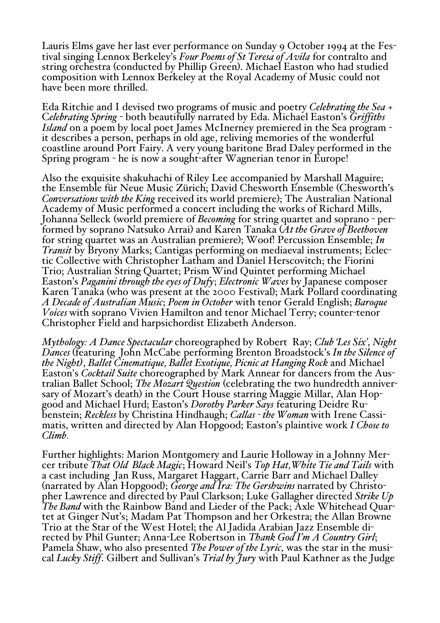Lauris Elms gave her last ever performance on Sunday 9 October 1994 at the Festival singing Lennox Berkeley's *Four Poems of St Teresa of Avila* for contralto and string orchestra (conducted by Phillip Green). Michael Easton who had studied composition with Lennox Berkeley at the Royal Academy of Music could not have been more thrilled.

Eda Ritchie and I devised two programs of music and poetry *Celebrating the Sea* + C*elebrating Spring* - both beautifully narrated by Eda. Michael Easton's *Griffiths Island* on a poem by local poet James McInerney premiered in the Sea program it describes a person, perhaps in old age, reliving memories of the wonderful coastline around Port Fairy. A very young baritone Brad Daley performed in the Spring program - he is now a sought-after Wagnerian tenor in Europe!

Also the exquisite shakuhachi of Riley Lee accompanied by Marshall Maguire; the Ensemble für Neue Music Zürich; David Chesworth Ensemble (Chesworth's *Conversations with the King* received its world premiere); The Australian National Academy of Music performed a concert including the works of Richard Mills, Johanna Selleck (world premiere of *Becoming* for string quartet and soprano - performed by soprano Natsuko Arrai) and Karen Tanaka (*At the Grave of Beethoven* for string quartet was an Australian premiere); Woof! Percussion Ensemble; *In Transit* by Bryony Marks; Cantigas performing on mediaeval instruments; Eclectic Collective with Christopher Latham and Daniel Herscovitch; the Fiorini Trio; Australian String Quartet; Prism Wind Quintet performing Michael Easton's *Paganini through the eyes of Dufy*; *Electronic Waves* by Japanese composer Karen Tanaka (who was present at the 2000 Festival); Mark Pollard coordinating *A Decade of Australian Music*; *Poem in October* with tenor Gerald English; *Baroque Voices* with soprano Vivien Hamilton and tenor Michael Terry; counter-tenor Christopher Field and harpsichordist Elizabeth Anderson.

*Mythology: A Dance Spectacular* choreographed by Robert Ray; *Club 'Les Six'*, *Night Dances* (featuring John McCabe performing Brenton Broadstock's *In the Silence of the Night)*, *Ballet Cinematique, Ballet Exotique, Picnic at Hanging Rock* and Michael Easton's *Cocktail Suite* choreographed by Mark Annear for dancers from the Australian Ballet School; *The Mozart Question* (celebrating the two hundredth anniversary of Mozart's death) in the Court House starring Maggie Millar, Alan Hop-<br>good and Michael Hurd; Easton's *Dorothy Parker Says* featuring Deidre Rugood and Michael Hurd; Easton's *Dorothy Parker Says* featuring Deidre Ru- benstein; *Reckless* by Christina Hindhaugh; *Callas - the Woman* with Irene Cassimatis, written and directed by Alan Hopgood; Easton's plaintive work *I Chose to Climb.*

Further highlights: Marion Montgomery and Laurie Holloway in a Johnny Mercer tribute *That Old Black Magic*; Howard Neil's *Top Hat,White Tie and Tails* with a cast including Jan Russ, Margaret Haggart, Carrie Barr and Michael Dalley (narrated by Alan Hopgood); *George and Ira: The Gershwins* narrated by Christopher Lawrence and directed by Paul Clarkson; Luke Gallagher directed *Strike Up The Band* with the Rainbow Band and Lieder of the Pack; Axle Whitehead Quartet at Ginger Nut's; Madam Pat Thompson and her Orkestra; the Allan Browne Trio at the Star of the West Hotel; the Al Jadida Arabian Jazz Ensemble directed by Phil Gunter; Anna-Lee Robertson in *Thank God I'm A Country Girl*; Pamela Shaw, who also presented *The Power of the Lyric,* was the star in the musical *Lucky Stiff*. Gilbert and Sullivan's *Trial by fury* with Paul Kathner as the Judge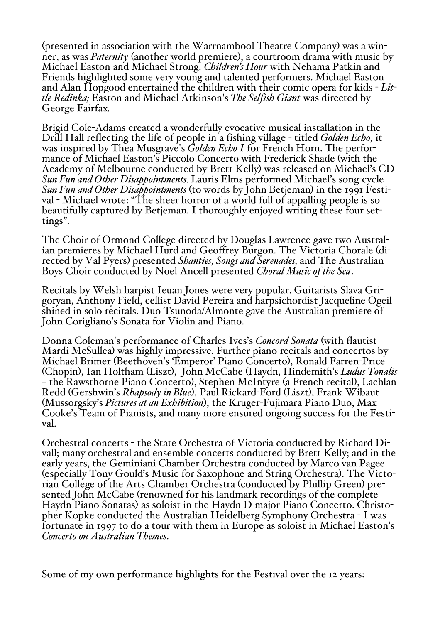(presented in association with the Warrnambool Theatre Company) was a winner, as was *Paternity* (another world premiere), <sup>a</sup> courtroom drama with music by Michael Easton and Michael Strong. *Children's Hour* with Nehama Patkin and Friends highlighted some very young and talented performers. Michael Easton and Alan Hopgood entertained the children with their comic opera for kids - *Little Redinka;* Easton and Michael Atkinson's *The Selfish Giant* was directed by George Fairfax*.*

Brigid Cole-Adams created a wonderfully evocative musical installation in the Drill Hall reflecting the life of people in a fishing village - titled *Golden Echo,* it was inspired by Thea Musgrave's *Golden Echo I* for French Horn. The performance of Michael Easton's Piccolo Concerto with Frederick Shade (with the Academy of Melbourne conducted by Brett Kelly) was released on Michael's CD *Sun Fun and Other Disappointments.* Lauris Elms performed Michael's song-cycle *Sun Fun and Other Disappointments* (to words by John Betjeman) in the 1991 Festival - Michael wrote: "The sheer horror of a world full of appalling people is so beautifully captured by Betjeman. I thoroughly enjoyed writing these four settings".

The Choir of Ormond College directed by Douglas Lawrence gave two Australian premieres by Michael Hurd and Geoffrey Burgon. The Victoria Chorale (directed by Val Pyers) presented *Shanties, Songs and Serenades,* and The Australian Boys Choir conducted by Noel Ancell presented *Choral Music of the Sea*.

Recitals by Welsh harpist Ieuan Jones were very popular. Guitarists Slava Grigoryan, Anthony Field, cellist David Pereira and harpsichordist Jacqueline Ogeil shined in solo recitals. Duo Tsunoda/Almonte gave the Australian premiere of John Corigliano's Sonata for Violin and Piano.

Donna Coleman's performance of Charles Ives's *Concord Sonata* (with flautist Mardi McSullea) was highly impressive. Further piano recitals and concertos by Michael Brimer (Beethoven's 'Emperor' Piano Concerto), Ronald Farren-Price (Chopin), Ian Holtham (Liszt), John McCabe (Haydn, Hindemith's *Ludus Tonalis* + the Rawsthorne Piano Concerto), Stephen McIntyre (a French recital), Lachlan Redd (Gershwin's *Rhapsody in Blue*), Paul Rickard-Ford (Liszt), Frank Wibaut (Mussorgsky's *Pictures at an Exhibition*), the Kruger-Fujimara Piano Duo, Max Cooke's Team of Pianists, and many more ensured ongoing success for the Festival.

Orchestral concerts - the State Orchestra of Victoria conducted by Richard Divall; many orchestral and ensemble concerts conducted by Brett Kelly; and in the early years, the Geminiani Chamber Orchestra conducted by Marco van Pagee (especially Tony Gould's Music for Saxophone and String Orchestra). The Victorian College of the Arts Chamber Orchestra (conducted by Phillip Green) presented John McCabe (renowned for his landmark recordings of the complete Haydn Piano Sonatas) as soloist in the Haydn D major Piano Concerto. Christopher Kopke conducted the Australian Heidelberg Symphony Orchestra - I was fortunate in 1997 to do a tour with them in Europe as soloist in Michael Easton's *Concerto on Australian Themes*.

Some of my own performance highlights for the Festival over the 12 years: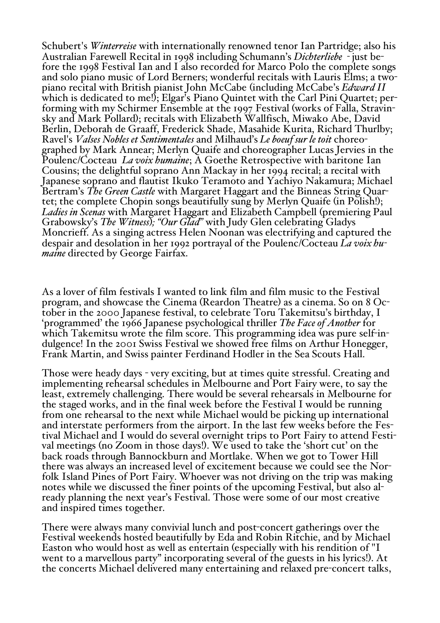Schubert's *Winterreise* with internationally renowned tenor Ian Partridge; also his Australian Farewell Recital in 1998 including Schumann's *Dichterliebe* - just before the 1998 Festival Ian and I also recorded for Marco Polo the complete songs and solo piano music of Lord Berners; wonderful recitals with Lauris Elms; a twopiano recital with British pianist John McCabe (including McCabe's *Edward II* which is dedicated to me!); Elgar's Piano Quintet with the Carl Pini Quartet; performing with my Schirmer Ensemble at the 1997 Festival (works of Falla, Stravinsky and Mark Pollard); recitals with Elizabeth Wallfisch, Miwako Abe, David Berlin, Deborah de Graaff, Frederick Shade, Masahide Kurita, Richard Thurlby; Ravel's *Valses Nobles et Sentimentales* and Milhaud's *Le boeuf sur le toit* choreographed by Mark Annear; Merlyn Quaife and choreographer Lucas Jervies in the Poulenc/Cocteau *La voix humaine*; A Goethe Retrospective with baritone Ian Cousins; the delightful soprano Ann Mackay in her 1994 recital; a recital with Japanese soprano and flautist Ikuko Teramoto and Yachiyo Nakamura; Michael Bertram's *The Green Castle* with Margaret Haggart and the Binneas String Quartet; the complete Chopin songs beautifully sung by Merlyn Quaife (in Polish!); *Ladies in Scenas* with Margaret Haggart and Elizabeth Campbell (premiering Paul Grabowsky's *The Witness*)*; "Our Glad"* with Judy Glen celebrating Gladys Moncrieff. As a singing actress Helen Noonan was electrifying and captured the despair and desolation in her <sup>1992</sup> portrayal of the Poulenc/Cocteau *La voix hu- maine* directed by George Fairfax.

As a lover of film festivals I wanted to link film and film music to the Festival program, and showcase the Cinema (Reardon Theatre) as a cinema. So on 8 October in the 2000 Japanese festival, to celebrate Toru Takemitsu's birthday, I 'programmed' the 1966 Japanese psychological thriller *The Face of Another* for which Takemitsu wrote the film score. This programming idea was pure self-indulgence! In the 2001 Swiss Festival we showed free films on Arthur Honegger, Frank Martin, and Swiss painter Ferdinand Hodler in the Sea Scouts Hall.

Those were heady days - very exciting, but at times quite stressful. Creating and implementing rehearsal schedules in Melbourne and Port Fairy were, to say the least, extremely challenging. There would be several rehearsals in Melbourne for the staged works, and in the final week before the Festival I would be running from one rehearsal to the next while Michael would be picking up international and interstate performers from the airport. In the last few weeks before the Festival Michael and I would do several overnight trips to Port Fairy to attend Festival meetings (no Zoom in those days!). We used to take the 'short cut' on the back roads through Bannockburn and Mortlake. When we got to Tower Hill folk Island Pines of Port Fairy. Whoever was not driving on the trip was making notes while we discussed the finer points of the upcoming Festival, but also already planning the next year's Festival. Those were some of our most creative and inspired times together.

There were always many convivial lunch and post-concert gatherings over the Festival weekends hosted beautifully by Eda and Robin Ritchie, and by Michael Easton who would host as well as entertain (especially with his rendition of "I went to a marvellous party" incorporating several of the guests in his lyrics!). At the concerts Michael delivered many entertaining and relaxed pre-concert talks,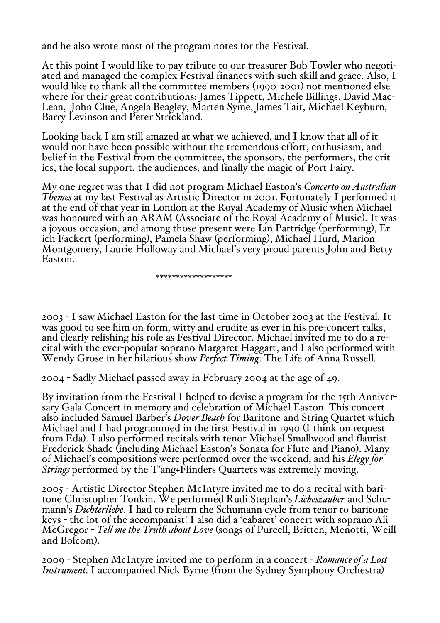and he also wrote most of the program notes for the Festival.

At this point <sup>I</sup> would like to pay tribute to our treasurer Bob Towler who negoti- ated and managed the complex Festival finances with such skill and grace. Also, <sup>I</sup> would like to thank all the committee members (1990-2001) not mentioned elsewhere for their great contributions: James Tippett, Michele Billings, David Mac-Lean, John Clue, Angela Beagley, Marten Syme, James Tait, Michael Keyburn, Barry Levinson and Peter Strickland.

Looking back I am still amazed at what we achieved, and I know that all of it would not have been possible without the tremendous effort, enthusiasm, and belief in the Festival from the committee, the sponsors, the performers, the critics, the local support, the audiences, and finally the magic of Port Fairy.

My one regret was that I did not program Michael Easton's *Concerto on Australian Themes* at my last Festival as Artistic Director in 2001. Fortunately I performed it at the end of that year in London at the Royal Academy of Music when Michael was honoured with an ARAM (Associate of the Royal Academy of Music). It was a joyous occasion, and among those present were Ian Partridge (performing), Erich Fackert (performing), Pamela Shaw (performing), Michael Hurd, Marion Montgomery, Laurie Holloway and Michael's very proud parents John and Betty Easton.

\*\*\*\*\*\*\*\*\*\*\*\*\*\*\*\*\*\*\*

2003 - I saw Michael Easton for the last time in October 2003 at the Festival. It was good to see him on form, witty and erudite as ever in his pre-concert talks, and clearly relishing his role as Festival Director. Michael invited me to do a recital with the ever-popular soprano Margaret Haggart, and I also performed with Wendy Grose in her hilarious show *Perfect Timing*: The Life of Anna Russell.

2004 - Sadly Michael passed away in February 2004 at the age of 49.

By invitation from the Festival I helped to devise a program for the 15th Anniversary Gala Concert in memory and celebration of Michael Easton. This concert also included Samuel Barber's *Dover Beach* for Baritone and String Quartet which Michael and I had programmed in the first Festival in 1990 (I think on request from Eda). I also performed recitals with tenor Michael Smallwood and flautist Frederick Shade (including Michael Easton's Sonata for Flute and Piano). Many of Michael's compositions were performed over the weekend, and his *Elegy for Strings* performed by the T'ang+Flinders Quartets was extremely moving.

2005 - Artistic Director Stephen McIntyre invited me to do a recital with baritone Christopher Tonkin. We performed Rudi Stephan's *Liebeszauber* and Schumann's *Dichterliebe*. I had to relearn the Schumann cycle from tenor to baritone keys - the lot of the accompanist! I also did a 'cabaret' concert with soprano Ali McGregor - *Tell me the Truth about Love* (songs of Purcell, Britten, Menotti, Weill and Bolcom).

2009 - Stephen McIntyre invited me to perform in a concert - *Romance of a Lost Instrument.* I accompanied Nick Byrne (from the Sydney Symphony Orchestra)